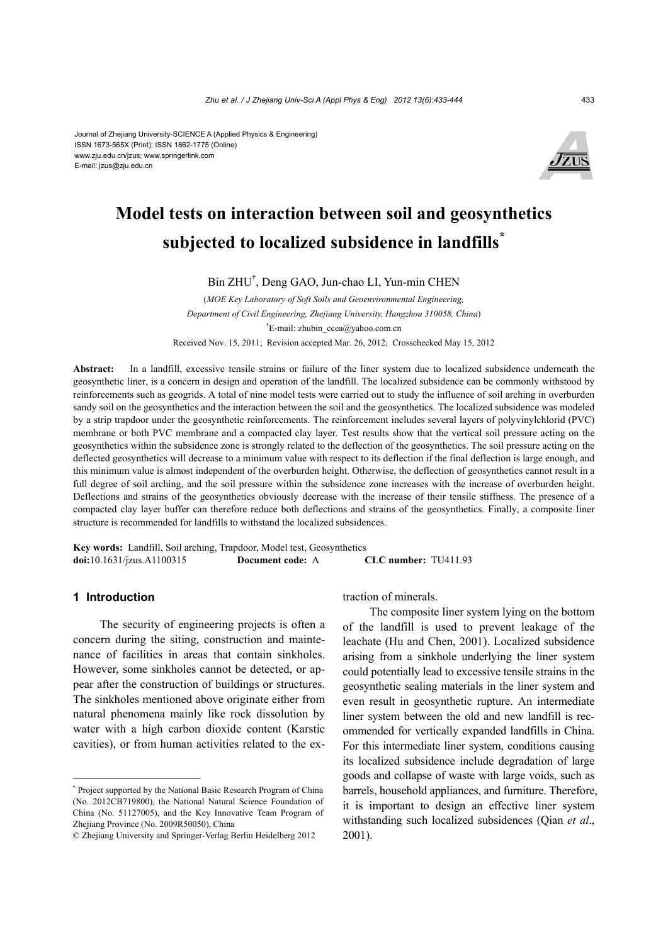#### Journal of Zhejiang University-SCIENCE A (Applied Physics & Engineering) ISSN 1673-565X (Print); ISSN 1862-1775 (Online) www.zju.edu.cn/jzus; www.springerlink.com E-mail: jzus@zju.edu.cn



# **Model tests on interaction between soil and geosynthetics subjected to localized subsidence in landfills\***

Bin ZHU† , Deng GAO, Jun-chao LI, Yun-min CHEN

(*MOE Key Laboratory of Soft Soils and Geoenvironmental Engineering, Department of Civil Engineering, Zhejiang University, Hangzhou 310058, China*) <sup>†</sup>E-mail: zhubin\_ccea@yahoo.com.cn Received Nov. 15, 2011; Revision accepted Mar. 26, 2012; Crosschecked May 15, 2012

**Abstract:** In a landfill, excessive tensile strains or failure of the liner system due to localized subsidence underneath the geosynthetic liner, is a concern in design and operation of the landfill. The localized subsidence can be commonly withstood by reinforcements such as geogrids. A total of nine model tests were carried out to study the influence of soil arching in overburden sandy soil on the geosynthetics and the interaction between the soil and the geosynthetics. The localized subsidence was modeled by a strip trapdoor under the geosynthetic reinforcements. The reinforcement includes several layers of polyvinylchlorid (PVC) membrane or both PVC membrane and a compacted clay layer. Test results show that the vertical soil pressure acting on the geosynthetics within the subsidence zone is strongly related to the deflection of the geosynthetics. The soil pressure acting on the deflected geosynthetics will decrease to a minimum value with respect to its deflection if the final deflection is large enough, and this minimum value is almost independent of the overburden height. Otherwise, the deflection of geosynthetics cannot result in a full degree of soil arching, and the soil pressure within the subsidence zone increases with the increase of overburden height. Deflections and strains of the geosynthetics obviously decrease with the increase of their tensile stiffness. The presence of a compacted clay layer buffer can therefore reduce both deflections and strains of the geosynthetics. Finally, a composite liner structure is recommended for landfills to withstand the localized subsidences.

**Key words:** Landfill, Soil arching, Trapdoor, Model test, Geosynthetics **doi:**10.1631/jzus.A1100315 **Document code:** A **CLC number:** TU411.93

# **1 Introduction**

The security of engineering projects is often a concern during the siting, construction and maintenance of facilities in areas that contain sinkholes. However, some sinkholes cannot be detected, or appear after the construction of buildings or structures. The sinkholes mentioned above originate either from natural phenomena mainly like rock dissolution by water with a high carbon dioxide content (Karstic cavities), or from human activities related to the extraction of minerals.

The composite liner system lying on the bottom of the landfill is used to prevent leakage of the leachate (Hu and Chen, 2001). Localized subsidence arising from a sinkhole underlying the liner system could potentially lead to excessive tensile strains in the geosynthetic sealing materials in the liner system and even result in geosynthetic rupture. An intermediate liner system between the old and new landfill is recommended for vertically expanded landfills in China. For this intermediate liner system, conditions causing its localized subsidence include degradation of large goods and collapse of waste with large voids, such as barrels, household appliances, and furniture. Therefore, it is important to design an effective liner system withstanding such localized subsidences (Qian *et al*., 2001).

<sup>\*</sup> Project supported by the National Basic Research Program of China (No. 2012CB719800), the National Natural Science Foundation of China (No. 51127005), and the Key Innovative Team Program of Zhejiang Province (No. 2009R50050), China

<sup>©</sup> Zhejiang University and Springer-Verlag Berlin Heidelberg 2012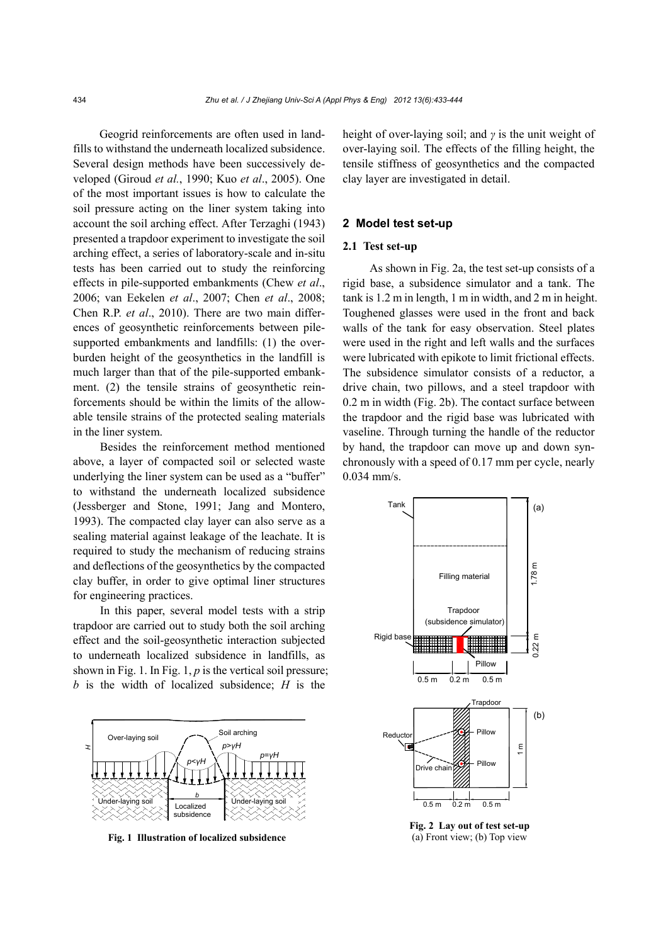Geogrid reinforcements are often used in landfills to withstand the underneath localized subsidence. Several design methods have been successively developed (Giroud *et al.*, 1990; Kuo *et al*., 2005). One of the most important issues is how to calculate the soil pressure acting on the liner system taking into account the soil arching effect. After Terzaghi (1943) presented a trapdoor experiment to investigate the soil arching effect, a series of laboratory-scale and in-situ tests has been carried out to study the reinforcing effects in pile-supported embankments (Chew *et al*., 2006; van Eekelen *et al*., 2007; Chen *et al*., 2008; Chen R.P. *et al*., 2010). There are two main differences of geosynthetic reinforcements between pilesupported embankments and landfills: (1) the overburden height of the geosynthetics in the landfill is much larger than that of the pile-supported embankment. (2) the tensile strains of geosynthetic reinforcements should be within the limits of the allowable tensile strains of the protected sealing materials in the liner system.

Besides the reinforcement method mentioned above, a layer of compacted soil or selected waste underlying the liner system can be used as a "buffer" to withstand the underneath localized subsidence (Jessberger and Stone, 1991; Jang and Montero, 1993). The compacted clay layer can also serve as a sealing material against leakage of the leachate. It is required to study the mechanism of reducing strains and deflections of the geosynthetics by the compacted clay buffer, in order to give optimal liner structures for engineering practices.

In this paper, several model tests with a strip trapdoor are carried out to study both the soil arching effect and the soil-geosynthetic interaction subjected to underneath localized subsidence in landfills, as shown in Fig. 1. In Fig. 1, *p* is the vertical soil pressure; *b* is the width of localized subsidence; *H* is the



**Fig. 1 Illustration of localized subsidence**

height of over-laying soil; and *γ* is the unit weight of over-laying soil. The effects of the filling height, the tensile stiffness of geosynthetics and the compacted clay layer are investigated in detail.

## **2 Model test set-up**

### **2.1 Test set-up**

As shown in Fig. 2a, the test set-up consists of a rigid base, a subsidence simulator and a tank. The tank is 1.2 m in length, 1 m in width, and 2 m in height. Toughened glasses were used in the front and back walls of the tank for easy observation. Steel plates were used in the right and left walls and the surfaces were lubricated with epikote to limit frictional effects. The subsidence simulator consists of a reductor, a drive chain, two pillows, and a steel trapdoor with 0.2 m in width (Fig. 2b). The contact surface between the trapdoor and the rigid base was lubricated with vaseline. Through turning the handle of the reductor by hand, the trapdoor can move up and down synchronously with a speed of 0.17 mm per cycle, nearly 0.034 mm/s.



**Fig. 2 Lay out of test set-up**  (a) Front view; (b) Top view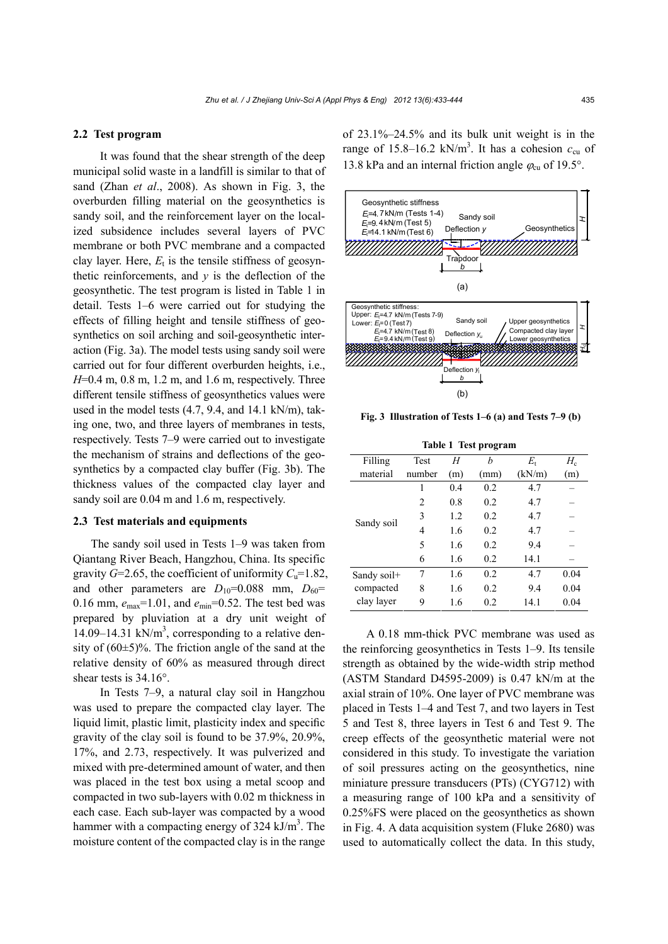## **2.2 Test program**

It was found that the shear strength of the deep municipal solid waste in a landfill is similar to that of sand (Zhan *et al*., 2008). As shown in Fig. 3, the overburden filling material on the geosynthetics is sandy soil, and the reinforcement layer on the localized subsidence includes several layers of PVC membrane or both PVC membrane and a compacted clay layer. Here,  $E_t$  is the tensile stiffness of geosynthetic reinforcements, and *y* is the deflection of the geosynthetic. The test program is listed in Table 1 in detail. Tests 1–6 were carried out for studying the effects of filling height and tensile stiffness of geosynthetics on soil arching and soil-geosynthetic interaction (Fig. 3a). The model tests using sandy soil were carried out for four different overburden heights, i.e., *H*=0.4 m, 0.8 m, 1.2 m, and 1.6 m, respectively. Three different tensile stiffness of geosynthetics values were used in the model tests (4.7, 9.4, and 14.1 kN/m), taking one, two, and three layers of membranes in tests, respectively. Tests 7–9 were carried out to investigate the mechanism of strains and deflections of the geosynthetics by a compacted clay buffer (Fig. 3b). The thickness values of the compacted clay layer and sandy soil are 0.04 m and 1.6 m, respectively.

## **2.3 Test materials and equipments**

The sandy soil used in Tests 1–9 was taken from Qiantang River Beach, Hangzhou, China. Its specific gravity  $G=2.65$ , the coefficient of uniformity  $C<sub>u</sub>=1.82$ , and other parameters are  $D_{10}=0.088$  mm,  $D_{60}=$ 0.16 mm, *e*max=1.01, and *e*min=0.52. The test bed was prepared by pluviation at a dry unit weight of 14.09–14.31 kN/m<sup>3</sup>, corresponding to a relative density of  $(60\pm5)\%$ . The friction angle of the sand at the relative density of 60% as measured through direct shear tests is 34.16°.

In Tests 7–9, a natural clay soil in Hangzhou was used to prepare the compacted clay layer. The liquid limit, plastic limit, plasticity index and specific gravity of the clay soil is found to be 37.9%, 20.9%, 17%, and 2.73, respectively. It was pulverized and mixed with pre-determined amount of water, and then was placed in the test box using a metal scoop and compacted in two sub-layers with 0.02 m thickness in each case. Each sub-layer was compacted by a wood hammer with a compacting energy of  $324 \text{ kJ/m}^3$ . The moisture content of the compacted clay is in the range

of 23.1%–24.5% and its bulk unit weight is in the range of 15.8–16.2 kN/m<sup>3</sup>. It has a cohesion  $c_{cu}$  of 13.8 kPa and an internal friction angle  $\varphi_{cu}$  of 19.5°.



**Fig. 3 Illustration of Tests 1–6 (a) and Tests 7–9 (b)**

|  |  | <b>Table 1 Test program</b> |
|--|--|-----------------------------|
|--|--|-----------------------------|

| Filling     | <b>Test</b> | H   | h    | $E_{\rm t}$ | $H_{\rm c}$ |
|-------------|-------------|-----|------|-------------|-------------|
| material    | number      | (m) | (mm) | (kN/m)      | (m)         |
| Sandy soil  | 1           | 0.4 | 0.2  | 4.7         |             |
|             | 2           | 0.8 | 0.2  | 4.7         |             |
|             | 3           | 1.2 | 0.2  | 4.7         |             |
|             | 4           | 1.6 | 0.2  | 4.7         |             |
|             | 5           | 1.6 | 0.2  | 9.4         |             |
|             | 6           | 1.6 | 0.2  | 14.1        |             |
| Sandy soil+ | 7           | 1.6 | 0.2  | 4.7         | 0.04        |
| compacted   | 8           | 1.6 | 0.2  | 9.4         | 0.04        |
| clay layer  | 9           | 1.6 | 0.2  | 14.1        | 0.04        |

A 0.18 mm-thick PVC membrane was used as the reinforcing geosynthetics in Tests 1–9. Its tensile strength as obtained by the wide-width strip method (ASTM Standard D4595-2009) is 0.47 kN/m at the axial strain of 10%. One layer of PVC membrane was placed in Tests 1–4 and Test 7, and two layers in Test 5 and Test 8, three layers in Test 6 and Test 9. The creep effects of the geosynthetic material were not considered in this study. To investigate the variation of soil pressures acting on the geosynthetics, nine miniature pressure transducers (PTs) (CYG712) with a measuring range of 100 kPa and a sensitivity of 0.25%FS were placed on the geosynthetics as shown in Fig. 4. A data acquisition system (Fluke 2680) was used to automatically collect the data. In this study,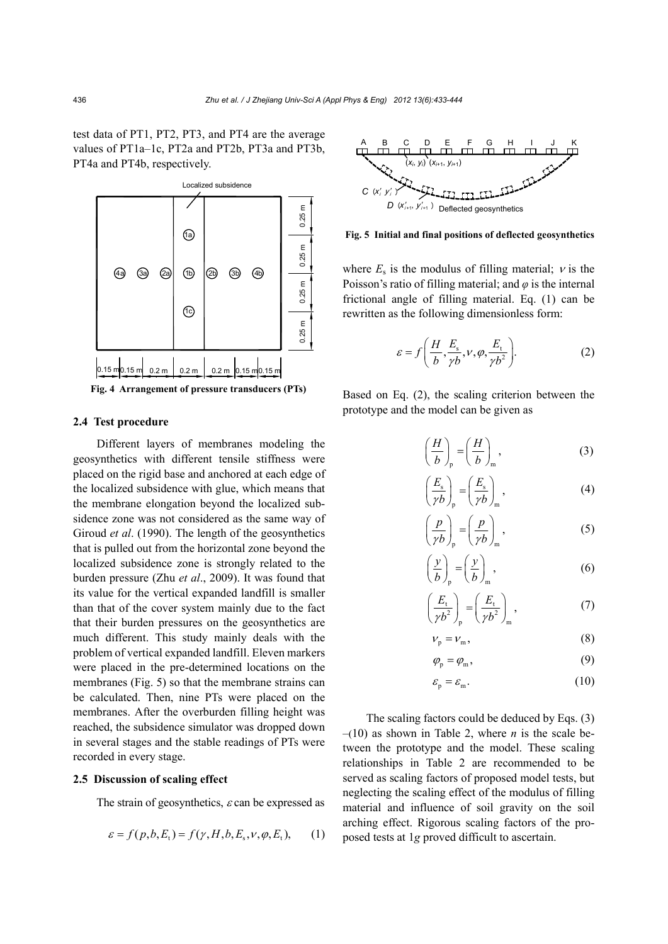test data of PT1, PT2, PT3, and PT4 are the average values of PT1a–1c, PT2a and PT2b, PT3a and PT3b, PT4a and PT4b, respectively.



**Fig. 4 Arrangement of pressure transducers (PTs)**

# **2.4 Test procedure**

Different layers of membranes modeling the geosynthetics with different tensile stiffness were placed on the rigid base and anchored at each edge of the localized subsidence with glue, which means that the membrane elongation beyond the localized subsidence zone was not considered as the same way of Giroud *et al*. (1990). The length of the geosynthetics that is pulled out from the horizontal zone beyond the localized subsidence zone is strongly related to the burden pressure (Zhu *et al*., 2009). It was found that its value for the vertical expanded landfill is smaller than that of the cover system mainly due to the fact that their burden pressures on the geosynthetics are much different. This study mainly deals with the problem of vertical expanded landfill. Eleven markers were placed in the pre-determined locations on the membranes (Fig. 5) so that the membrane strains can be calculated. Then, nine PTs were placed on the membranes. After the overburden filling height was reached, the subsidence simulator was dropped down in several stages and the stable readings of PTs were recorded in every stage.

### **2.5 Discussion of scaling effect**

The strain of geosynthetics,  $\varepsilon$  can be expressed as

$$
\varepsilon = f(p, b, E_t) = f(\gamma, H, b, E_s, v, \varphi, E_t), \qquad (1)
$$



**Fig. 5 Initial and final positions of deflected geosynthetics**

where  $E_s$  is the modulus of filling material;  $\nu$  is the Poisson's ratio of filling material; and *φ* is the internal frictional angle of filling material. Eq. (1) can be rewritten as the following dimensionless form:

$$
\varepsilon = f\left(\frac{H}{b}, \frac{E_s}{\gamma b}, \nu, \varphi, \frac{E_t}{\gamma b^2}\right).
$$
 (2)

Based on Eq. (2), the scaling criterion between the prototype and the model can be given as

$$
\left(\frac{H}{b}\right)_p = \left(\frac{H}{b}\right)_m,\tag{3}
$$

$$
\left(\frac{E_s}{\gamma b}\right)_p = \left(\frac{E_s}{\gamma b}\right)_m, \tag{4}
$$

$$
\left(\frac{p}{\gamma b}\right)_p = \left(\frac{p}{\gamma b}\right)_m, \tag{5}
$$

$$
\left(\frac{y}{b}\right)_{p} = \left(\frac{y}{b}\right)_{m},\tag{6}
$$

$$
\left(\frac{E_t}{\gamma b^2}\right)_p = \left(\frac{E_t}{\gamma b^2}\right)_m, \tag{7}
$$

$$
V_{\rm p} = V_{\rm m},\tag{8}
$$

$$
\varphi_{\rm p} = \varphi_{\rm m},\tag{9}
$$

$$
\varepsilon_{\rm p} = \varepsilon_{\rm m}.\tag{10}
$$

The scaling factors could be deduced by Eqs. (3)  $-(10)$  as shown in Table 2, where *n* is the scale between the prototype and the model. These scaling relationships in Table 2 are recommended to be served as scaling factors of proposed model tests, but neglecting the scaling effect of the modulus of filling material and influence of soil gravity on the soil arching effect. Rigorous scaling factors of the proposed tests at 1*g* proved difficult to ascertain.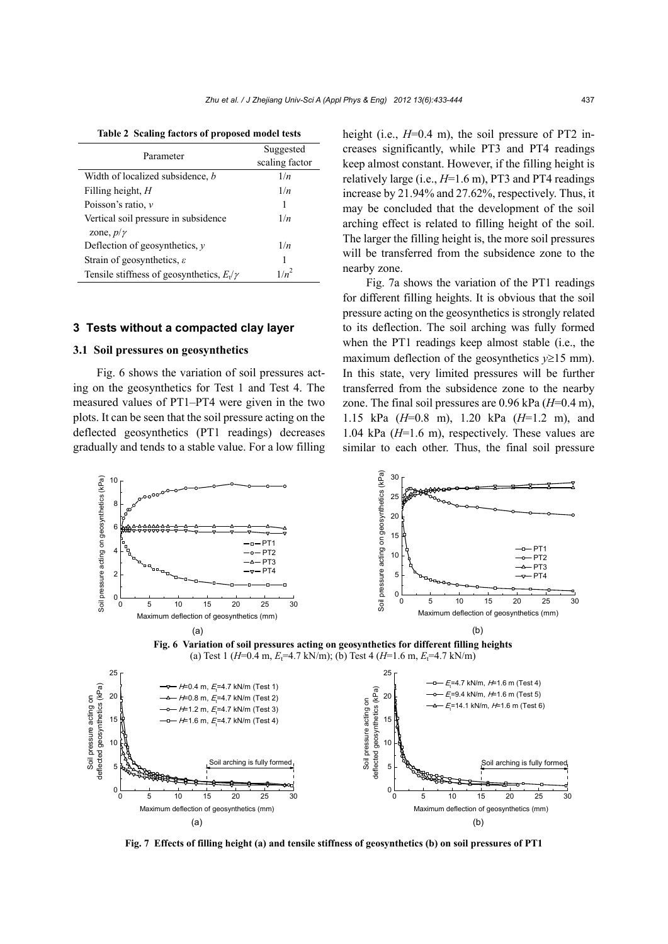| Parameter                                                | Suggested<br>scaling factor |  |
|----------------------------------------------------------|-----------------------------|--|
| Width of localized subsidence, b                         | 1/n                         |  |
| Filling height, H                                        | 1/n                         |  |
| Poisson's ratio, $\nu$                                   | 1                           |  |
| Vertical soil pressure in subsidence<br>zone, $p/\gamma$ | 1/n                         |  |
| Deflection of geosynthetics, $y$                         | 1/n                         |  |
| Strain of geosynthetics, $\varepsilon$                   | 1                           |  |
| Tensile stiffness of geosynthetics, $E_t/\gamma$         | $1/n^2$                     |  |

**Table 2 Scaling factors of proposed model tests** 

## **3 Tests without a compacted clay layer**

## **3.1 Soil pressures on geosynthetics**

Fig. 6 shows the variation of soil pressures acting on the geosynthetics for Test 1 and Test 4. The measured values of PT1–PT4 were given in the two plots. It can be seen that the soil pressure acting on the deflected geosynthetics (PT1 readings) decreases gradually and tends to a stable value. For a low filling

height (i.e.,  $H=0.4$  m), the soil pressure of PT2 increases significantly, while PT3 and PT4 readings keep almost constant. However, if the filling height is relatively large (i.e., *H*=1.6 m), PT3 and PT4 readings increase by 21.94% and 27.62%, respectively. Thus, it may be concluded that the development of the soil arching effect is related to filling height of the soil. The larger the filling height is, the more soil pressures will be transferred from the subsidence zone to the nearby zone.

Fig. 7a shows the variation of the PT1 readings for different filling heights. It is obvious that the soil pressure acting on the geosynthetics is strongly related to its deflection. The soil arching was fully formed when the PT1 readings keep almost stable (i.e., the maximum deflection of the geosynthetics  $v \ge 15$  mm). In this state, very limited pressures will be further transferred from the subsidence zone to the nearby zone. The final soil pressures are 0.96 kPa (*H*=0.4 m), 1.15 kPa (*H*=0.8 m), 1.20 kPa (*H*=1.2 m), and 1.04 kPa (*H*=1.6 m), respectively. These values are similar to each other. Thus, the final soil pressure



**Fig. 7 Effects of filling height (a) and tensile stiffness of geosynthetics (b) on soil pressures of PT1**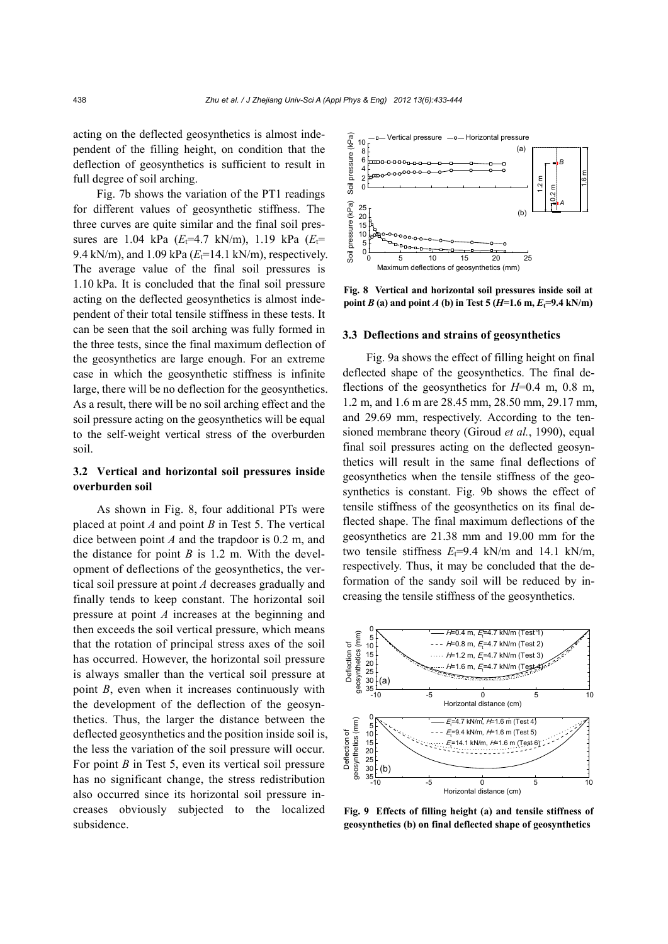acting on the deflected geosynthetics is almost independent of the filling height, on condition that the deflection of geosynthetics is sufficient to result in full degree of soil arching.

Fig. 7b shows the variation of the PT1 readings for different values of geosynthetic stiffness. The three curves are quite similar and the final soil pressures are 1.04 kPa (*E*<sub>t</sub>=4.7 kN/m), 1.19 kPa (*E*<sub>t</sub>= 9.4 kN/m), and  $1.09$  kPa  $(E<sub>t</sub>=14.1$  kN/m), respectively. The average value of the final soil pressures is 1.10 kPa. It is concluded that the final soil pressure acting on the deflected geosynthetics is almost independent of their total tensile stiffness in these tests. It can be seen that the soil arching was fully formed in the three tests, since the final maximum deflection of the geosynthetics are large enough. For an extreme case in which the geosynthetic stiffness is infinite large, there will be no deflection for the geosynthetics. As a result, there will be no soil arching effect and the soil pressure acting on the geosynthetics will be equal to the self-weight vertical stress of the overburden soil.

# **3.2 Vertical and horizontal soil pressures inside overburden soil**

As shown in Fig. 8, four additional PTs were placed at point *A* and point *B* in Test 5. The vertical dice between point *A* and the trapdoor is 0.2 m, and the distance for point  $B$  is 1.2 m. With the development of deflections of the geosynthetics, the vertical soil pressure at point *A* decreases gradually and finally tends to keep constant. The horizontal soil pressure at point *A* increases at the beginning and then exceeds the soil vertical pressure, which means that the rotation of principal stress axes of the soil has occurred. However, the horizontal soil pressure is always smaller than the vertical soil pressure at point *B*, even when it increases continuously with the development of the deflection of the geosynthetics. Thus, the larger the distance between the deflected geosynthetics and the position inside soil is, the less the variation of the soil pressure will occur. For point *B* in Test 5, even its vertical soil pressure has no significant change, the stress redistribution also occurred since its horizontal soil pressure increases obviously subjected to the localized subsidence.



**Fig. 8 Vertical and horizontal soil pressures inside soil at** 

#### **3.3 Deflections and strains of geosynthetics**

Fig. 9a shows the effect of filling height on final deflected shape of the geosynthetics. The final deflections of the geosynthetics for *H*=0.4 m, 0.8 m, 1.2 m, and 1.6 m are 28.45 mm, 28.50 mm, 29.17 mm, and 29.69 mm, respectively. According to the tensioned membrane theory (Giroud *et al.*, 1990), equal final soil pressures acting on the deflected geosynthetics will result in the same final deflections of geosynthetics when the tensile stiffness of the geosynthetics is constant. Fig. 9b shows the effect of tensile stiffness of the geosynthetics on its final deflected shape. The final maximum deflections of the geosynthetics are 21.38 mm and 19.00 mm for the two tensile stiffness  $E_t=9.4$  kN/m and 14.1 kN/m, respectively. Thus, it may be concluded that the deformation of the sandy soil will be reduced by increasing the tensile stiffness of the geosynthetics.



**Fig. 9 Effects of filling height (a) and tensile stiffness of geosynthetics (b) on final deflected shape of geosynthetics**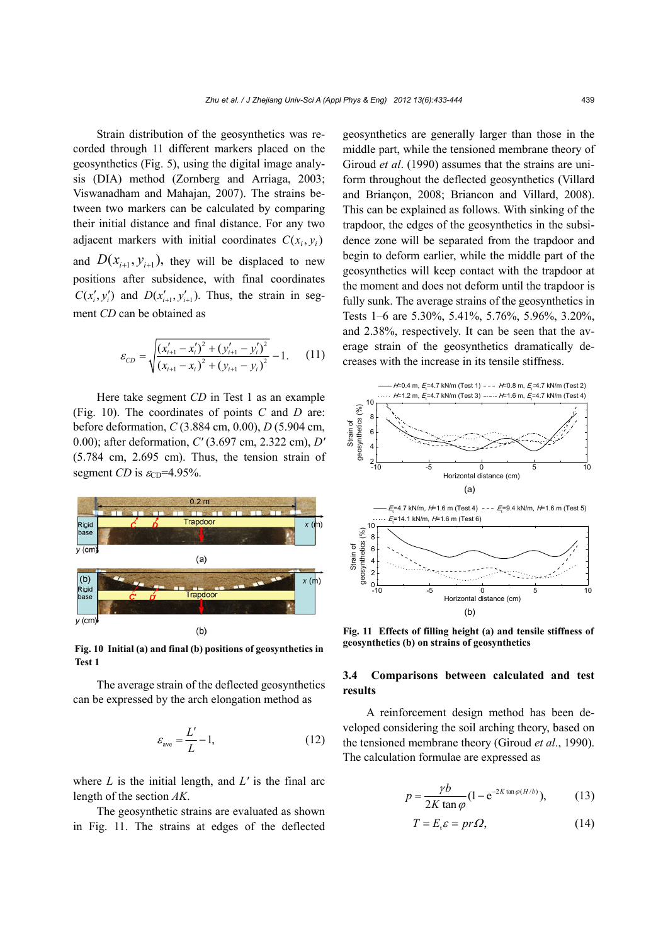Strain distribution of the geosynthetics was recorded through 11 different markers placed on the geosynthetics (Fig. 5), using the digital image analysis (DIA) method (Zornberg and Arriaga, 2003; Viswanadham and Mahajan, 2007). The strains between two markers can be calculated by comparing their initial distance and final distance. For any two adjacent markers with initial coordinates  $C(x_i, y_i)$ and  $D(x_{i+1}, y_{i+1})$ , they will be displaced to new positions after subsidence, with final coordinates  $C(x'_i, y'_i)$  and  $D(x'_{i+1}, y'_{i+1})$ . Thus, the strain in segment *CD* can be obtained as

$$
\varepsilon_{CD} = \sqrt{\frac{(x'_{i+1} - x'_i)^2 + (y'_{i+1} - y'_i)^2}{(x_{i+1} - x_i)^2 + (y_{i+1} - y_i)^2}} - 1.
$$
 (11)

Here take segment *CD* in Test 1 as an example (Fig. 10). The coordinates of points *C* and *D* are: before deformation, *C* (3.884 cm, 0.00), *D* (5.904 cm, 0.00); after deformation, *C'* (3.697 cm, 2.322 cm), *D'* (5.784 cm, 2.695 cm). Thus, the tension strain of segment *CD* is  $\varepsilon_{CD}$ =4.95%.



**geosynthetics (b) on strains of geosynthetics Fig. 10 Initial (a) and final (b) positions of geosynthetics in Test 1**

The average strain of the deflected geosynthetics can be expressed by the arch elongation method as

$$
\varepsilon_{\text{ave}} = \frac{L'}{L} - 1,\tag{12}
$$

where  $L$  is the initial length, and  $L'$  is the final arc length of the section *AK*.

The geosynthetic strains are evaluated as shown in Fig. 11. The strains at edges of the deflected geosynthetics are generally larger than those in the middle part, while the tensioned membrane theory of Giroud *et al*. (1990) assumes that the strains are uniform throughout the deflected geosynthetics (Villard and Briançon, 2008; Briancon and Villard, 2008). This can be explained as follows. With sinking of the trapdoor, the edges of the geosynthetics in the subsidence zone will be separated from the trapdoor and begin to deform earlier, while the middle part of the geosynthetics will keep contact with the trapdoor at the moment and does not deform until the trapdoor is fully sunk. The average strains of the geosynthetics in Tests 1–6 are 5.30%, 5.41%, 5.76%, 5.96%, 3.20%, and 2.38%, respectively. It can be seen that the average strain of the geosynthetics dramatically decreases with the increase in its tensile stiffness.



**Fig. 11 Effects of filling height (a) and tensile stiffness of**

# **3.4 Comparisons between calculated and test results**

A reinforcement design method has been developed considering the soil arching theory, based on the tensioned membrane theory (Giroud *et al*., 1990). The calculation formulae are expressed as

$$
p = \frac{\gamma b}{2K \tan \varphi} (1 - e^{-2K \tan \varphi(H/b)}), \quad (13)
$$

$$
T = E_t \varepsilon = pr\Omega,\t\t(14)
$$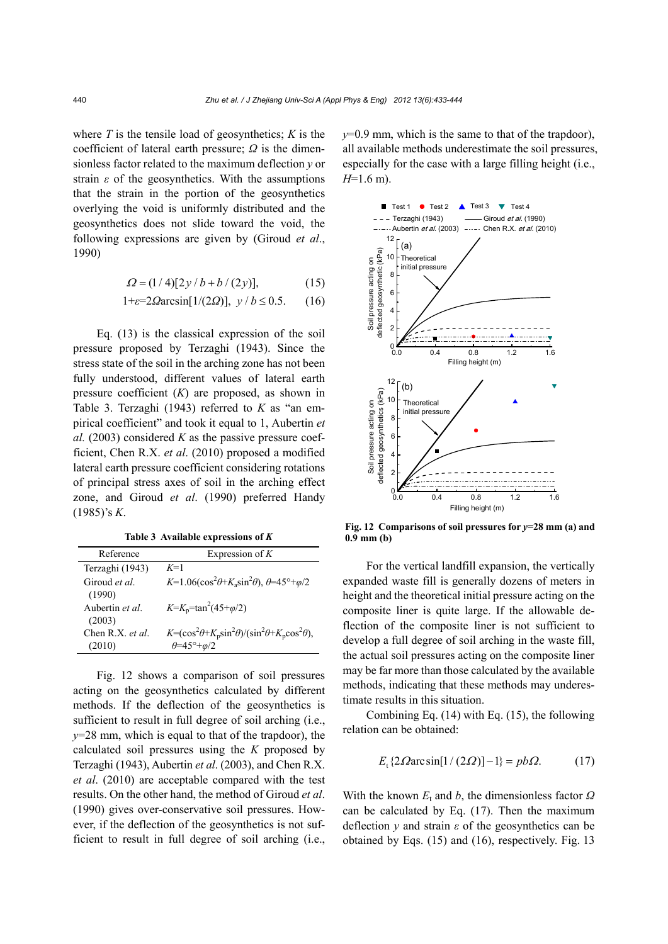where  $T$  is the tensile load of geosynthetics;  $K$  is the coefficient of lateral earth pressure; *Ω* is the dimensionless factor related to the maximum deflection *y* or strain *ε* of the geosynthetics. With the assumptions that the strain in the portion of the geosynthetics overlying the void is uniformly distributed and the geosynthetics does not slide toward the void, the following expressions are given by (Giroud *et al*., 1990)

$$
\Omega = (1/4)[2y/b + b/(2y)],\tag{15}
$$

$$
1+\varepsilon=2\Omega \arcsin[1/(2\Omega)], y/b \le 0.5.
$$
 (16)

Eq. (13) is the classical expression of the soil pressure proposed by Terzaghi (1943). Since the stress state of the soil in the arching zone has not been fully understood, different values of lateral earth pressure coefficient (*K*) are proposed, as shown in Table 3. Terzaghi (1943) referred to *K* as "an empirical coefficient" and took it equal to 1, Aubertin *et al.* (2003) considered *K* as the passive pressure coefficient, Chen R.X. *et al*. (2010) proposed a modified lateral earth pressure coefficient considering rotations of principal stress axes of soil in the arching effect zone, and Giroud *et al*. (1990) preferred Handy (1985)'s *K*.

**Table 3 Available expressions of** *K*

| Reference            | Expression of $K$                                                              |
|----------------------|--------------------------------------------------------------------------------|
| Terzaghi (1943)      | $K=1$                                                                          |
| Giroud <i>et al.</i> | $K=1.06(\cos^2\theta + K_a\sin^2\theta), \theta=45^\circ + \varphi/2$          |
| (1990)               |                                                                                |
| Aubertin et al.      | $K = K_p = \tan^2(45 + \varphi/2)$                                             |
| (2003)               |                                                                                |
| Chen R.X. et al.     | $K=(\cos^2\theta+K_{\rm p}\sin^2\theta)/(\sin^2\theta+K_{\rm p}\cos^2\theta),$ |
| (2010)               | $\theta = 45^\circ + \varphi/2$                                                |
|                      |                                                                                |

Fig. 12 shows a comparison of soil pressures acting on the geosynthetics calculated by different methods. If the deflection of the geosynthetics is sufficient to result in full degree of soil arching (i.e., *y*=28 mm, which is equal to that of the trapdoor), the calculated soil pressures using the *K* proposed by Terzaghi (1943), Aubertin *et al*. (2003), and Chen R.X. *et al*. (2010) are acceptable compared with the test results. On the other hand, the method of Giroud *et al*. (1990) gives over-conservative soil pressures. However, if the deflection of the geosynthetics is not sufficient to result in full degree of soil arching (i.e.,

 $y=0.9$  mm, which is the same to that of the trapdoor), all available methods underestimate the soil pressures, especially for the case with a large filling height (i.e., *H*=1.6 m).



Fig. 12 Comparisons of soil pressures for  $y=28$  mm (a) and **0.9 mm (b)**

For the vertical landfill expansion, the vertically expanded waste fill is generally dozens of meters in height and the theoretical initial pressure acting on the composite liner is quite large. If the allowable deflection of the composite liner is not sufficient to develop a full degree of soil arching in the waste fill, the actual soil pressures acting on the composite liner may be far more than those calculated by the available methods, indicating that these methods may underestimate results in this situation.

Combining Eq. (14) with Eq. (15), the following relation can be obtained:

$$
E_{\rm t} \{2\Omega \arcsin[1/(2\Omega)]-1\} = pb\Omega. \tag{17}
$$

With the known  $E_t$  and *b*, the dimensionless factor  $\Omega$ can be calculated by Eq. (17). Then the maximum deflection *y* and strain *ε* of the geosynthetics can be obtained by Eqs. (15) and (16), respectively. Fig. 13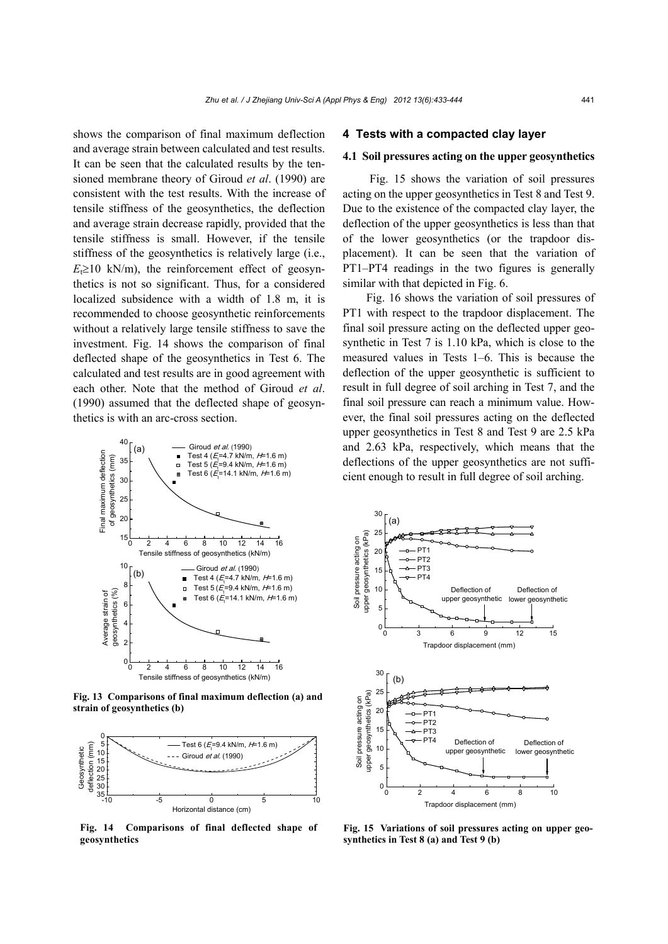shows the comparison of final maximum deflection and average strain between calculated and test results. It can be seen that the calculated results by the tensioned membrane theory of Giroud *et al*. (1990) are consistent with the test results. With the increase of tensile stiffness of the geosynthetics, the deflection and average strain decrease rapidly, provided that the tensile stiffness is small. However, if the tensile stiffness of the geosynthetics is relatively large (i.e.,  $E_1 \ge 10$  kN/m), the reinforcement effect of geosynthetics is not so significant. Thus, for a considered localized subsidence with a width of 1.8 m, it is recommended to choose geosynthetic reinforcements without a relatively large tensile stiffness to save the investment. Fig. 14 shows the comparison of final deflected shape of the geosynthetics in Test 6. The calculated and test results are in good agreement with each other. Note that the method of Giroud *et al*. (1990) assumed that the deflected shape of geosynthetics is with an arc-cross section.



**Fig. 13 Comparisons of final maximum deflection (a) and strain of geosynthetics (b)**



**Fig. 14 Comparisons of final deflected shape of geosynthetics**

## **4 Tests with a compacted clay layer**

## **4.1 Soil pressures acting on the upper geosynthetics**

Fig. 15 shows the variation of soil pressures acting on the upper geosynthetics in Test 8 and Test 9. Due to the existence of the compacted clay layer, the deflection of the upper geosynthetics is less than that of the lower geosynthetics (or the trapdoor displacement). It can be seen that the variation of PT1–PT4 readings in the two figures is generally similar with that depicted in Fig. 6.

Fig. 16 shows the variation of soil pressures of PT1 with respect to the trapdoor displacement. The final soil pressure acting on the deflected upper geosynthetic in Test 7 is 1.10 kPa, which is close to the measured values in Tests 1–6. This is because the deflection of the upper geosynthetic is sufficient to result in full degree of soil arching in Test 7, and the final soil pressure can reach a minimum value. However, the final soil pressures acting on the deflected upper geosynthetics in Test 8 and Test 9 are 2.5 kPa and 2.63 kPa, respectively, which means that the deflections of the upper geosynthetics are not sufficient enough to result in full degree of soil arching.



**Fig. 15 Variations of soil pressures acting on upper geosynthetics in Test 8 (a) and Test 9 (b)**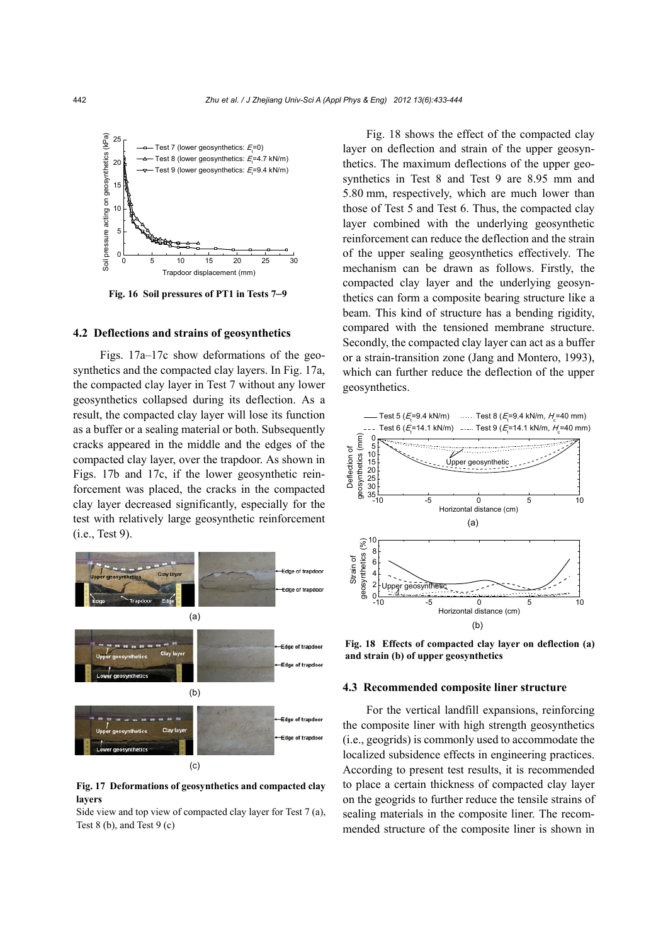

**Fig. 16 Soil pressures of PT1 in Tests 7–9**

#### **4.2 Deflections and strains of geosynthetics**

Figs. 17a–17c show deformations of the geosynthetics and the compacted clay layers. In Fig. 17a, the compacted clay layer in Test 7 without any lower geosynthetics collapsed during its deflection. As a result, the compacted clay layer will lose its function as a buffer or a sealing material or both. Subsequently cracks appeared in the middle and the edges of the compacted clay layer, over the trapdoor. As shown in Figs. 17b and 17c, if the lower geosynthetic reinforcement was placed, the cracks in the compacted clay layer decreased significantly, especially for the test with relatively large geosynthetic reinforcement (i.e., Test 9).



**Fig. 17 Deformations of geosynthetics and compacted clay layers** 

Side view and top view of compacted clay layer for Test 7 (a), Test  $8$  (b), and Test  $9$  (c)

Fig. 18 shows the effect of the compacted clay layer on deflection and strain of the upper geosynthetics. The maximum deflections of the upper geosynthetics in Test 8 and Test 9 are 8.95 mm and 5.80 mm, respectively, which are much lower than those of Test 5 and Test 6. Thus, the compacted clay layer combined with the underlying geosynthetic reinforcement can reduce the deflection and the strain of the upper sealing geosynthetics effectively. The mechanism can be drawn as follows. Firstly, the compacted clay layer and the underlying geosynthetics can form a composite bearing structure like a beam. This kind of structure has a bending rigidity, compared with the tensioned membrane structure. Secondly, the compacted clay layer can act as a buffer or a strain-transition zone (Jang and Montero, 1993), which can further reduce the deflection of the upper geosynthetics.



**Fig. 18 Effects of compacted clay layer on deflection (a) and strain (b) of upper geosynthetics**

#### **4.3 Recommended composite liner structure**

For the vertical landfill expansions, reinforcing the composite liner with high strength geosynthetics (i.e., geogrids) is commonly used to accommodate the localized subsidence effects in engineering practices. According to present test results, it is recommended to place a certain thickness of compacted clay layer on the geogrids to further reduce the tensile strains of sealing materials in the composite liner. The recommended structure of the composite liner is shown in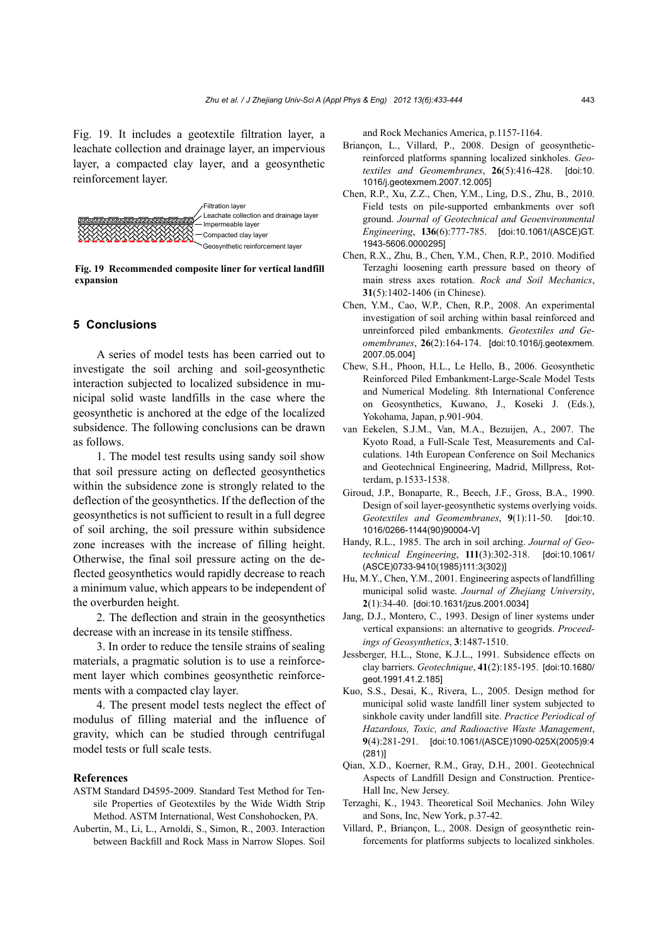Fig. 19. It includes a geotextile filtration layer, a leachate collection and drainage layer, an impervious layer, a compacted clay layer, and a geosynthetic reinforcement layer.



**Fig. 19 Recommended composite liner for vertical landfill expansion**

# **5 Conclusions**

A series of model tests has been carried out to investigate the soil arching and soil-geosynthetic interaction subjected to localized subsidence in municipal solid waste landfills in the case where the geosynthetic is anchored at the edge of the localized subsidence. The following conclusions can be drawn as follows.

1. The model test results using sandy soil show that soil pressure acting on deflected geosynthetics within the subsidence zone is strongly related to the deflection of the geosynthetics. If the deflection of the geosynthetics is not sufficient to result in a full degree of soil arching, the soil pressure within subsidence zone increases with the increase of filling height. Otherwise, the final soil pressure acting on the deflected geosynthetics would rapidly decrease to reach a minimum value, which appears to be independent of the overburden height.

2. The deflection and strain in the geosynthetics decrease with an increase in its tensile stiffness.

3. In order to reduce the tensile strains of sealing materials, a pragmatic solution is to use a reinforcement layer which combines geosynthetic reinforcements with a compacted clay layer.

4. The present model tests neglect the effect of modulus of filling material and the influence of gravity, which can be studied through centrifugal model tests or full scale tests.

## **References**

- ASTM Standard D4595-2009. Standard Test Method for Tensile Properties of Geotextiles by the Wide Width Strip Method. ASTM International, West Conshohocken, PA.
- Aubertin, M., Li, L., Arnoldi, S., Simon, R., 2003. Interaction between Backfill and Rock Mass in Narrow Slopes. Soil

and Rock Mechanics America, p.1157-1164.

- Briançon, L., Villard, P., 2008. Design of geosyntheticreinforced platforms spanning localized sinkholes. *Geotextiles and Geomembranes*, **26**(5):416-428. [doi:10. 1016/j.geotexmem.2007.12.005]
- Chen, R.P., Xu, Z.Z., Chen, Y.M., Ling, D.S., Zhu, B., 2010. Field tests on pile-supported embankments over soft ground. *Journal of Geotechnical and Geoenvironmental Engineering*, **136**(6):777-785. [doi:10.1061/(ASCE)GT. 1943-5606.0000295]
- Chen, R.X., Zhu, B., Chen, Y.M., Chen, R.P., 2010. Modified Terzaghi loosening earth pressure based on theory of main stress axes rotation. *Rock and Soil Mechanics*, **31**(5):1402-1406 (in Chinese).
- Chen, Y.M., Cao, W.P., Chen, R.P., 2008. An experimental investigation of soil arching within basal reinforced and unreinforced piled embankments. *Geotextiles and Geomembranes*, **26**(2):164-174. [doi:10.1016/j.geotexmem. 2007.05.004]
- Chew, S.H., Phoon, H.L., Le Hello, B., 2006. Geosynthetic Reinforced Piled Embankment-Large-Scale Model Tests and Numerical Modeling. 8th International Conference on Geosynthetics, Kuwano, J., Koseki J. (Eds.), Yokohama, Japan, p.901-904.
- van Eekelen, S.J.M., Van, M.A., Bezuijen, A., 2007. The Kyoto Road, a Full-Scale Test, Measurements and Calculations. 14th European Conference on Soil Mechanics and Geotechnical Engineering, Madrid, Millpress, Rotterdam, p.1533-1538.
- Giroud, J.P., Bonaparte, R., Beech, J.F., Gross, B.A., 1990. Design of soil layer-geosynthetic systems overlying voids. *Geotextiles and Geomembranes*, **9**(1):11-50. [doi:10. 1016/0266-1144(90)90004-V]
- Handy, R.L., 1985. The arch in soil arching. *Journal of Geotechnical Engineering*, **111**(3):302-318. [doi:10.1061/ (ASCE)0733-9410(1985)111:3(302)]
- Hu, M.Y., Chen, Y.M., 2001. Engineering aspects of landfilling municipal solid waste. *Journal of Zhejiang University*, **2**(1):34-40. [doi:10.1631/jzus.2001.0034]
- Jang, D.J., Montero, C., 1993. Design of liner systems under vertical expansions: an alternative to geogrids. *Proceedings of Geosynthetics*, **3**:1487-1510.
- Jessberger, H.L., Stone, K.J.L., 1991. Subsidence effects on clay barriers. *Geotechnique*, **41**(2):185-195. [doi:10.1680/ geot.1991.41.2.185]
- Kuo, S.S., Desai, K., Rivera, L., 2005. Design method for municipal solid waste landfill liner system subjected to sinkhole cavity under landfill site. *Practice Periodical of Hazardous, Toxic, and Radioactive Waste Management*, **9**(4):281-291. [doi:10.1061/(ASCE)1090-025X(2005)9:4 (281)]
- Qian, X.D., Koerner, R.M., Gray, D.H., 2001. Geotechnical Aspects of Landfill Design and Construction. Prentice-Hall Inc, New Jersey.
- Terzaghi, K., 1943. Theoretical Soil Mechanics. John Wiley and Sons, Inc, New York, p.37-42.
- Villard, P., Briançon, L., 2008. Design of geosynthetic reinforcements for platforms subjects to localized sinkholes.